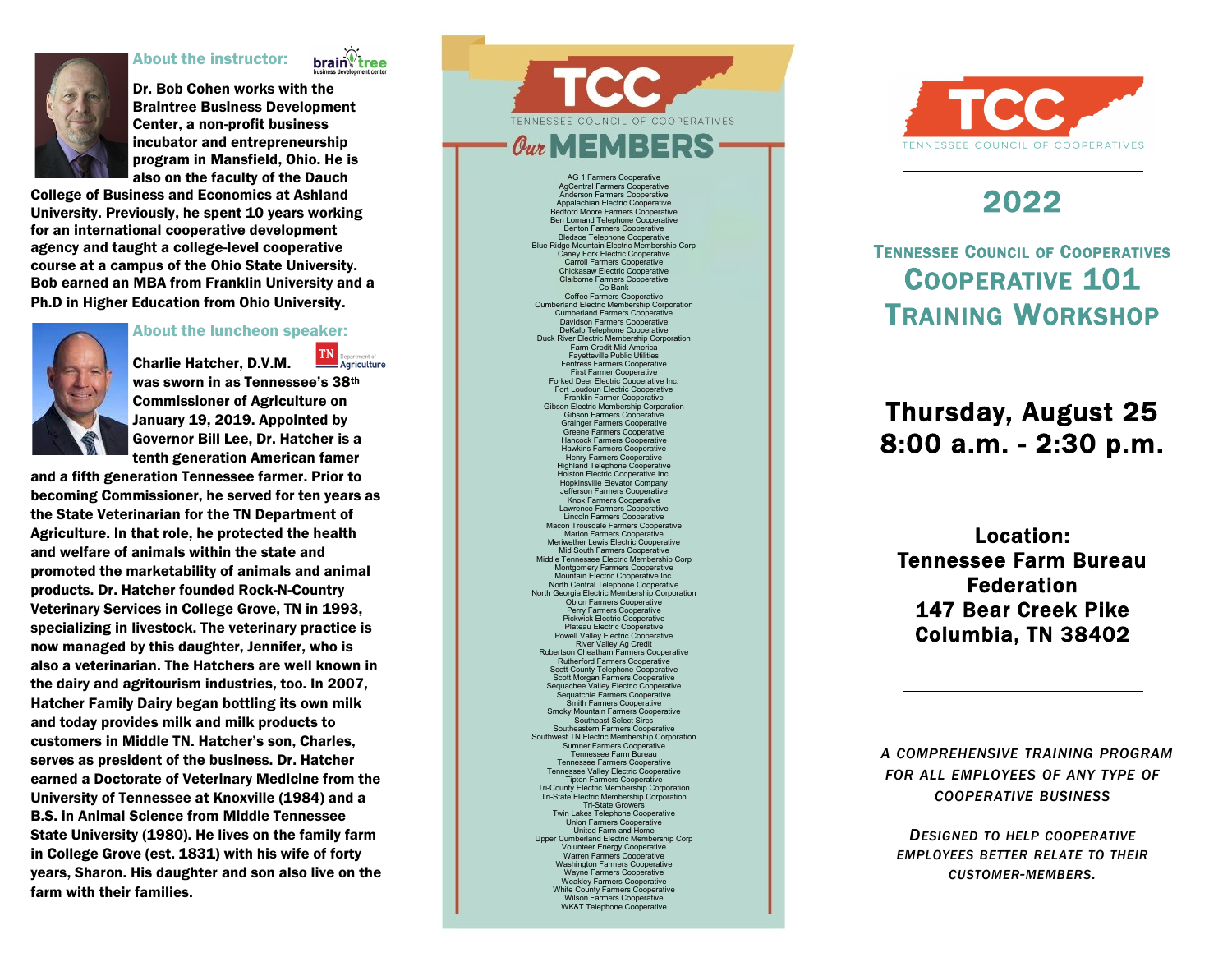### About the instructor:





Dr. Bob Cohen works with the Braintree Business Development Center, a non -profit business incubator and entrepreneurship program in Mansfield, Ohio. He is also on the faculty of the Dauch

College of Business and Economics at Ashland University. Previously, he spent 10 years working for an international cooperative development agency and taught a college -level cooperative course at a campus of the Ohio State University. Bob earned an MBA from Franklin University and a Ph.D in Higher Education from Ohio University.

#### About the luncheon speaker:



TN Charlie Hatcher, D.V.M. Agriculture was sworn in as Tennessee's 38th Commissioner of Agriculture on January 19, 2019. Appointed by Governor Bill Lee, Dr. Hatcher is a tenth generation American famer

and a fifth generation Tennessee farmer. Prior to becoming Commissioner, he served for ten years as the State Veterinarian for the TN Department of Agriculture. In that role, he protected the health and welfare of animals within the state and promoted the marketability of animals and animal products. Dr. Hatcher founded Rock - N -Country Veterinary Services in College Grove, TN in 1993, specializing in livestock. The veterinary practice is now managed by this daughter, Jennifer, who is also a veterinarian. The Hatchers are well known in the dairy and agritourism industries, too. In 2007, Hatcher Family Dairy began bottling its own milk and today provides milk and milk products to customers in Middle TN. Hatcher's son, Charles, serves as president of the business. Dr. Hatcher earned a Doctorate of Veterinary Medicine from the University of Tennessee at Knoxville (1984) and a B.S. in Animal Science from Middle Tennessee State University (1980). He lives on the family farm in College Grove (est. 1831) with his wife of forty years, Sharon. His daughter and son also live on the farm with their families.

TENNESSEE COUNCIL OF COOPERATIVES  $\theta$ ur MEMBER

> AG 1 Farmers Cooperative AgCentral Farmers Cooperative Anderson Farmers Cooperative Appalachian Electric Cooperative Bedford Moore Farmers Cooperative Ben Lomand Telephone Cooperative Benton Farmers Cooperative Bledsoe Telephone Cooperative Blue Ridge Mountain Electric Membership Corp Caney Fork Electric Cooperative Carroll Farmers Cooperative Chickasaw Electric Cooperative Claiborne Farmers Cooperative Co Bank Coffee Farmers Cooperative Cumberland Electric Membership Corporation Cumberland Farmers Cooperative Davidson Farmers Cooperative DeKalb Telephone Cooperative Duck River Electric Membership Corporation Farm Credit Mid -America Fayetteville Public Utilities Fentress Farmers Cooperative First Farmer Cooperative Forked Deer Electric Cooperative Inc. Fort Loudoun Electric Cooperative Franklin Farmer Cooperative Gibson Electric Membership Corporation Gibson Farmers Cooperative Grainger Farmers Cooperative Greene Farmers Cooperative Hancock Farmers Cooperative Hawkins Farmers Cooperative Henry Farmers Cooperative Highland Telephone Cooperative Holston Electric Cooperative Inc. Hopkinsville Elevator Company Jefferson Farmers Cooperative Knox Farmers Cooperative Lawrence Farmers Cooperative Lincoln Farmers Cooperative Macon Trousdale Farmers Cooperative Marion Farmers Cooperative Meriwether Lewis Electric Cooperative Mid South Farmers Cooperative Middle Tennessee Electric Membership Corp Montgomery Farmers Cooperative Mountain Electric Cooperative Inc. North Central Telephone Cooperative North Georgia Electric Membership Corporation Obion Farmers Cooperative Perry Farmers Cooperative Pickwick Electric Cooperative Plateau Electric Cooperative Powell Valley Electric Cooperative River Valley Ag Credit Robertson Cheatham Farmers Cooperative Rutherford Farmers Cooperative Scott County Telephone Cooperative Scott Morgan Farmers Cooperative Sequachee Valley Electric Cooperative Sequatchie Farmers Cooperative Smith Farmers Cooperative Smoky Mountain Farmers Cooperative Southeast Select Sires Southeastern Farmers Cooperative Southwest TN Electric Membership Corporation Sumner Farmers Cooperative Tennessee Farm Bureau Tennessee Farmers Cooperative Tennessee Valley Electric Cooperative Tipton Farmers Cooperative Tri -County Electric Membership Corporation Tri -State Electric Membership Corporation Tri -State Growers Twin Lakes Telephone Cooperative Union Farmers Cooperative United Farm and Home Upper Cumberland Electric Membership Corp Volunteer Energy Cooperative

Warren Farmers Cooperative Washington Farmers Cooperative Wayne Farmers Cooperative Weakley Farmers Cooperative White County Farmers Cooperative Wilson Farmers Cooperative WK&T Telephone Cooperative



# 2022

## TENNESSEE COUNCIL OF COOPERATIVES COOPERATIVE 101 TRAINING WORKSHOP

# Thursday, August 25 8:00 a.m. - 2:30 p.m.

Location: Tennessee Farm Bureau Federation 147 Bear Creek Pike Columbia, TN 38402

*A COMPREHENSIVE TRAINING PROGRAM FOR ALL EMPLOYEES OF ANY TYPE OF COOPERATIVE BUSINESS*

*DESIGNED TO HELP COOPERATIVE EMPLOYEES BETTER RELATE TO THEIR CUSTOMER -MEMBERS .*